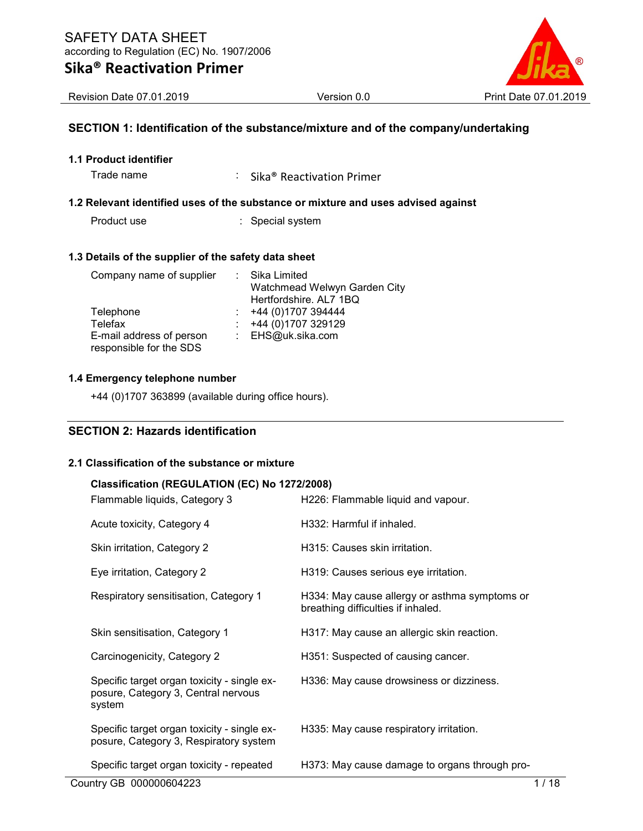

Revision Date 07.01.2019 **Version 0.0 Print Date 07.01.2019 Print Date 07.01.2019** 

## SECTION 1: Identification of the substance/mixture and of the company/undertaking

1.1 Product identifier

Trade name : Sika® Reactivation Primer

### 1.2 Relevant identified uses of the substance or mixture and uses advised against

Product use **:** Special system

#### 1.3 Details of the supplier of the safety data sheet

| Company name of supplier                            | : Sika Limited<br>Watchmead Welwyn Garden City<br>Hertfordshire. AL7 1BQ |
|-----------------------------------------------------|--------------------------------------------------------------------------|
| Telephone                                           | +44 (0)1707 394444                                                       |
| Telefax                                             | +44 (0)1707 329129                                                       |
| E-mail address of person<br>responsible for the SDS | : EHS@uk.sika.com                                                        |

## 1.4 Emergency telephone number

+44 (0)1707 363899 (available during office hours).

## SECTION 2: Hazards identification

#### 2.1 Classification of the substance or mixture

#### Classification (REGULATION (EC) No 1272/2008)

| Flammable liquids, Category 3                                                                | H226: Flammable liquid and vapour.                                                  |
|----------------------------------------------------------------------------------------------|-------------------------------------------------------------------------------------|
| Acute toxicity, Category 4                                                                   | H332: Harmful if inhaled.                                                           |
| Skin irritation, Category 2                                                                  | H315: Causes skin irritation.                                                       |
| Eye irritation, Category 2                                                                   | H319: Causes serious eye irritation.                                                |
| Respiratory sensitisation, Category 1                                                        | H334: May cause allergy or asthma symptoms or<br>breathing difficulties if inhaled. |
| Skin sensitisation, Category 1                                                               | H317: May cause an allergic skin reaction.                                          |
| Carcinogenicity, Category 2                                                                  | H351: Suspected of causing cancer.                                                  |
| Specific target organ toxicity - single ex-<br>posure, Category 3, Central nervous<br>system | H336: May cause drowsiness or dizziness.                                            |
| Specific target organ toxicity - single ex-<br>posure, Category 3, Respiratory system        | H335: May cause respiratory irritation.                                             |
| Specific target organ toxicity - repeated                                                    | H373: May cause damage to organs through pro-                                       |
| Country GB 000000604223                                                                      | 1 / 18                                                                              |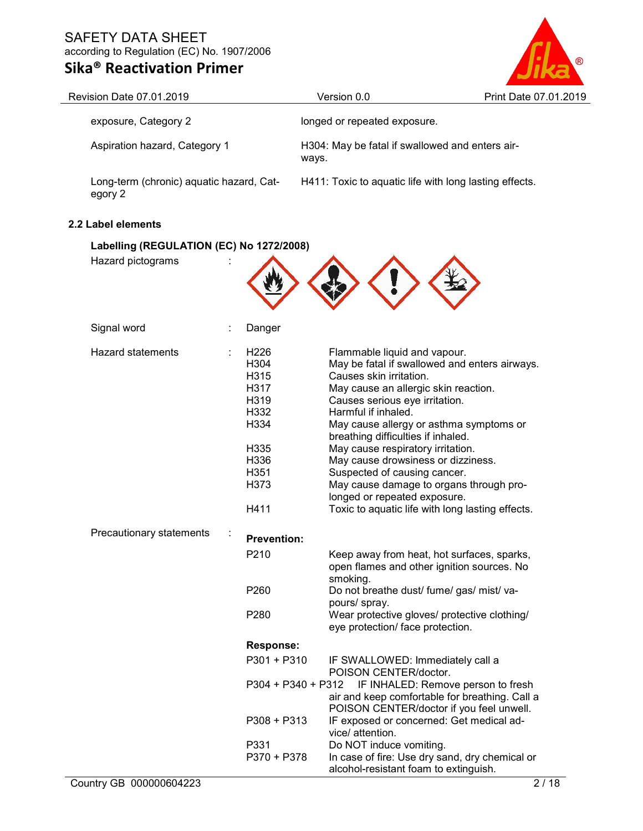# Sika® Reactivation Primer



| Revision Date 07.01.2019                            |                                                                                                          | Version 0.0                                                                                                                                                                                                                                                                                                                                                                                                                     | Print Date 07.01.2019                                                                                                                                                              |
|-----------------------------------------------------|----------------------------------------------------------------------------------------------------------|---------------------------------------------------------------------------------------------------------------------------------------------------------------------------------------------------------------------------------------------------------------------------------------------------------------------------------------------------------------------------------------------------------------------------------|------------------------------------------------------------------------------------------------------------------------------------------------------------------------------------|
| exposure, Category 2                                |                                                                                                          | longed or repeated exposure.                                                                                                                                                                                                                                                                                                                                                                                                    |                                                                                                                                                                                    |
| Aspiration hazard, Category 1                       |                                                                                                          | H304: May be fatal if swallowed and enters air-<br>ways.                                                                                                                                                                                                                                                                                                                                                                        |                                                                                                                                                                                    |
| Long-term (chronic) aquatic hazard, Cat-<br>egory 2 |                                                                                                          | H411: Toxic to aquatic life with long lasting effects.                                                                                                                                                                                                                                                                                                                                                                          |                                                                                                                                                                                    |
| 2.2 Label elements                                  |                                                                                                          |                                                                                                                                                                                                                                                                                                                                                                                                                                 |                                                                                                                                                                                    |
| Labelling (REGULATION (EC) No 1272/2008)            |                                                                                                          |                                                                                                                                                                                                                                                                                                                                                                                                                                 |                                                                                                                                                                                    |
| Hazard pictograms                                   |                                                                                                          |                                                                                                                                                                                                                                                                                                                                                                                                                                 |                                                                                                                                                                                    |
| Signal word                                         | Danger                                                                                                   |                                                                                                                                                                                                                                                                                                                                                                                                                                 |                                                                                                                                                                                    |
| <b>Hazard statements</b>                            | H <sub>226</sub><br>H304<br>H315<br>H317<br>H319<br>H332<br>H334<br>H335<br>H336<br>H351<br>H373<br>H411 | Flammable liquid and vapour.<br>Causes skin irritation.<br>May cause an allergic skin reaction.<br>Causes serious eye irritation.<br>Harmful if inhaled.<br>May cause allergy or asthma symptoms or<br>breathing difficulties if inhaled.<br>May cause respiratory irritation.<br>May cause drowsiness or dizziness.<br>Suspected of causing cancer.<br>May cause damage to organs through pro-<br>longed or repeated exposure. | May be fatal if swallowed and enters airways.<br>Toxic to aquatic life with long lasting effects.                                                                                  |
| Precautionary statements                            | <b>Prevention:</b><br>P210<br>P260<br>P280                                                               | smoking.<br>Do not breathe dust/ fume/ gas/ mist/ va-<br>pours/ spray.<br>eye protection/ face protection.                                                                                                                                                                                                                                                                                                                      | Keep away from heat, hot surfaces, sparks,<br>open flames and other ignition sources. No<br>Wear protective gloves/ protective clothing/                                           |
|                                                     | <b>Response:</b><br>$P301 + P310$<br>$P308 + P313$<br>P331<br>P370 + P378                                | IF SWALLOWED: Immediately call a<br>POISON CENTER/doctor.<br>P304 + P340 + P312<br>IF exposed or concerned: Get medical ad-<br>vice/ attention.<br>Do NOT induce vomiting.<br>alcohol-resistant foam to extinguish.                                                                                                                                                                                                             | IF INHALED: Remove person to fresh<br>air and keep comfortable for breathing. Call a<br>POISON CENTER/doctor if you feel unwell.<br>In case of fire: Use dry sand, dry chemical or |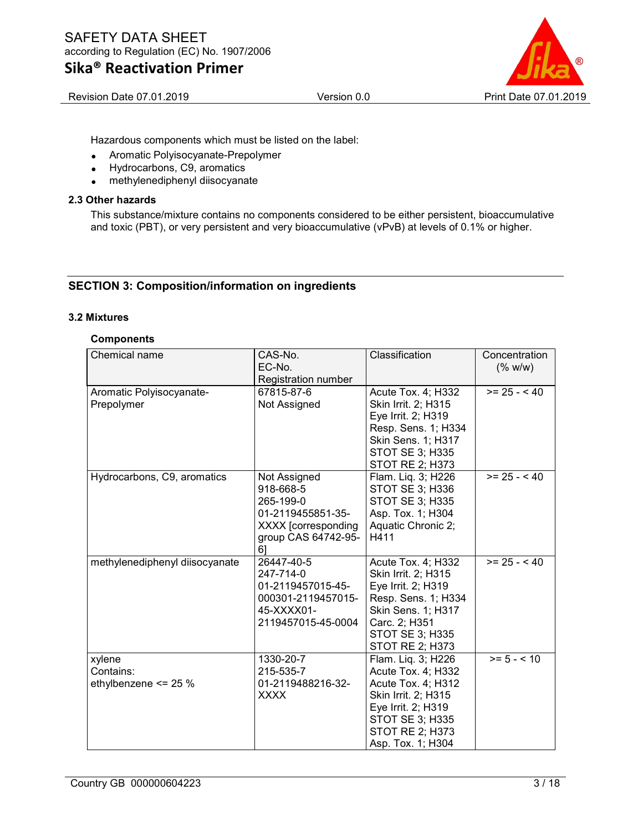

Hazardous components which must be listed on the label:

- Aromatic Polyisocyanate-Prepolymer
- Hydrocarbons, C9, aromatics
- methylenediphenyl diisocyanate

#### 2.3 Other hazards

This substance/mixture contains no components considered to be either persistent, bioaccumulative and toxic (PBT), or very persistent and very bioaccumulative (vPvB) at levels of 0.1% or higher.

## SECTION 3: Composition/information on ingredients

#### 3.2 Mixtures

#### **Components**

| Chemical name                               | Classification<br>CAS-No.<br>EC-No.<br>Registration number                                                      |                                                                                                                                                                                   | Concentration<br>(% w/w) |
|---------------------------------------------|-----------------------------------------------------------------------------------------------------------------|-----------------------------------------------------------------------------------------------------------------------------------------------------------------------------------|--------------------------|
| Aromatic Polyisocyanate-<br>Prepolymer      | 67815-87-6<br>Not Assigned                                                                                      | Acute Tox. 4; H332<br>Skin Irrit. 2; H315<br>Eye Irrit. 2; H319<br>Resp. Sens. 1; H334<br><b>Skin Sens. 1; H317</b><br>STOT SE 3; H335<br>STOT RE 2; H373                         | $>= 25 - 40$             |
| Hydrocarbons, C9, aromatics                 | Not Assigned<br>918-668-5<br>265-199-0<br>01-2119455851-35-<br>XXXX [corresponding<br>group CAS 64742-95-<br>61 | Flam. Liq. 3; H226<br>STOT SE 3; H336<br>STOT SE 3; H335<br>Asp. Tox. 1; H304<br>Aquatic Chronic 2;<br>H411                                                                       | $>= 25 - 40$             |
| methylenediphenyl diisocyanate              | 26447-40-5<br>247-714-0<br>01-2119457015-45-<br>000301-2119457015-<br>45-XXXX01-<br>2119457015-45-0004          | Acute Tox. 4; H332<br>Skin Irrit. 2; H315<br>Eye Irrit. 2; H319<br>Resp. Sens. 1; H334<br><b>Skin Sens. 1; H317</b><br>Carc. 2; H351<br><b>STOT SE 3; H335</b><br>STOT RE 2; H373 | $>= 25 - 40$             |
| xylene<br>Contains:<br>ethylbenzene <= 25 % | 1330-20-7<br>215-535-7<br>01-2119488216-32-<br><b>XXXX</b>                                                      | Flam. Liq. 3; H226<br>Acute Tox. 4; H332<br>Acute Tox. 4; H312<br>Skin Irrit. 2; H315<br>Eye Irrit. 2; H319<br>STOT SE 3; H335<br>STOT RE 2; H373<br>Asp. Tox. 1; H304            | $>= 5 - < 10$            |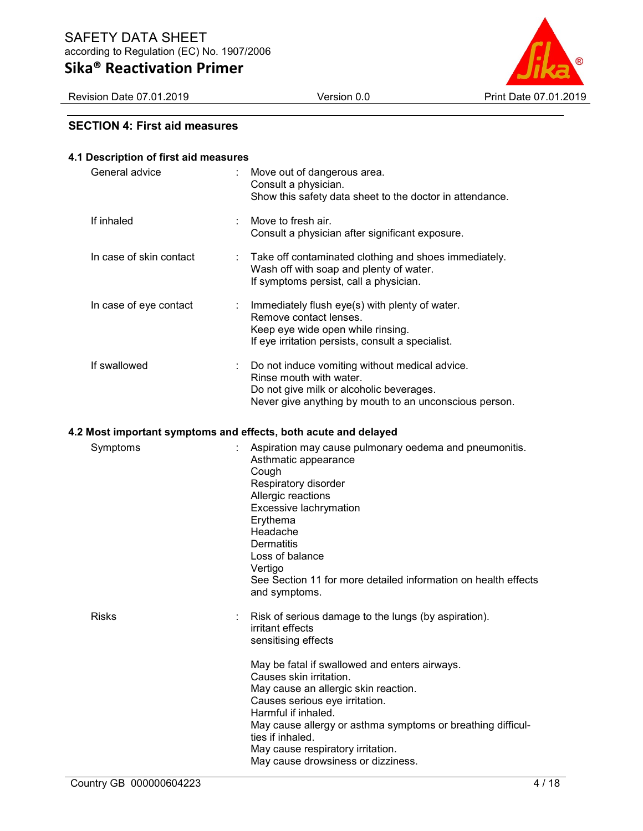|  | Sika® Reactivation Primer |  |
|--|---------------------------|--|
|--|---------------------------|--|



## SECTION 4: First aid measures

### 4.1 Description of first aid measures

| General advice                                                  | Move out of dangerous area.<br>Consult a physician.<br>Show this safety data sheet to the doctor in attendance.                                                                                                                                                                                                                         |
|-----------------------------------------------------------------|-----------------------------------------------------------------------------------------------------------------------------------------------------------------------------------------------------------------------------------------------------------------------------------------------------------------------------------------|
| If inhaled                                                      | Move to fresh air.<br>Consult a physician after significant exposure.                                                                                                                                                                                                                                                                   |
| In case of skin contact                                         | Take off contaminated clothing and shoes immediately.<br>Wash off with soap and plenty of water.<br>If symptoms persist, call a physician.                                                                                                                                                                                              |
| In case of eye contact<br>÷                                     | Immediately flush eye(s) with plenty of water.<br>Remove contact lenses.<br>Keep eye wide open while rinsing.<br>If eye irritation persists, consult a specialist.                                                                                                                                                                      |
| If swallowed                                                    | Do not induce vomiting without medical advice.<br>Rinse mouth with water.<br>Do not give milk or alcoholic beverages.<br>Never give anything by mouth to an unconscious person.                                                                                                                                                         |
| 4.2 Most important symptoms and effects, both acute and delayed |                                                                                                                                                                                                                                                                                                                                         |
| Symptoms                                                        | Aspiration may cause pulmonary oedema and pneumonitis.<br>Asthmatic appearance<br>Cough<br>Respiratory disorder<br>Allergic reactions<br>Excessive lachrymation<br>Erythema<br>Headache<br>Dermatitis<br>Loss of balance<br>Vertigo<br>See Section 11 for more detailed information on health effects<br>and symptoms.                  |
| <b>Risks</b>                                                    | Risk of serious damage to the lungs (by aspiration).<br>irritant effects<br>sensitising effects                                                                                                                                                                                                                                         |
|                                                                 | May be fatal if swallowed and enters airways.<br>Causes skin irritation.<br>May cause an allergic skin reaction.<br>Causes serious eye irritation.<br>Harmful if inhaled.<br>May cause allergy or asthma symptoms or breathing difficul-<br>ties if inhaled.<br>May cause respiratory irritation.<br>May cause drowsiness or dizziness. |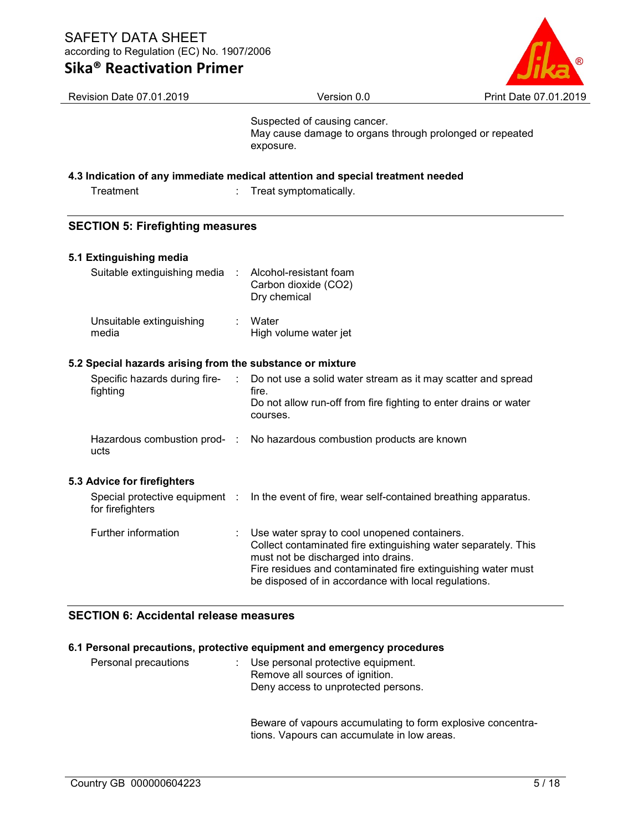## Sika® Reactivation Primer



| Revision Date 07.01.2019                                  |           | Version 0.0                                                                                                                                                                                                                                                                   | Print Date 07.01.2019 |
|-----------------------------------------------------------|-----------|-------------------------------------------------------------------------------------------------------------------------------------------------------------------------------------------------------------------------------------------------------------------------------|-----------------------|
|                                                           |           | Suspected of causing cancer.<br>May cause damage to organs through prolonged or repeated<br>exposure.                                                                                                                                                                         |                       |
|                                                           |           | 4.3 Indication of any immediate medical attention and special treatment needed                                                                                                                                                                                                |                       |
| Treatment                                                 |           | Treat symptomatically.                                                                                                                                                                                                                                                        |                       |
| <b>SECTION 5: Firefighting measures</b>                   |           |                                                                                                                                                                                                                                                                               |                       |
| 5.1 Extinguishing media                                   |           |                                                                                                                                                                                                                                                                               |                       |
| Suitable extinguishing media                              | $\cdot$ : | Alcohol-resistant foam<br>Carbon dioxide (CO2)<br>Dry chemical                                                                                                                                                                                                                |                       |
| Unsuitable extinguishing<br>media                         |           | Water<br>High volume water jet                                                                                                                                                                                                                                                |                       |
| 5.2 Special hazards arising from the substance or mixture |           |                                                                                                                                                                                                                                                                               |                       |
| Specific hazards during fire-<br>fighting                 |           | Do not use a solid water stream as it may scatter and spread<br>fire.<br>Do not allow run-off from fire fighting to enter drains or water<br>courses.                                                                                                                         |                       |
| Hazardous combustion prod- :<br>ucts                      |           | No hazardous combustion products are known                                                                                                                                                                                                                                    |                       |
| 5.3 Advice for firefighters                               |           |                                                                                                                                                                                                                                                                               |                       |
| Special protective equipment :<br>for firefighters        |           | In the event of fire, wear self-contained breathing apparatus.                                                                                                                                                                                                                |                       |
| Further information                                       |           | Use water spray to cool unopened containers.<br>Collect contaminated fire extinguishing water separately. This<br>must not be discharged into drains.<br>Fire residues and contaminated fire extinguishing water must<br>be disposed of in accordance with local regulations. |                       |

## SECTION 6: Accidental release measures

### 6.1 Personal precautions, protective equipment and emergency procedures

| Personal precautions | Use personal protective equipment.<br>Remove all sources of ignition.<br>Deny access to unprotected persons. |
|----------------------|--------------------------------------------------------------------------------------------------------------|
|                      |                                                                                                              |

Beware of vapours accumulating to form explosive concentrations. Vapours can accumulate in low areas.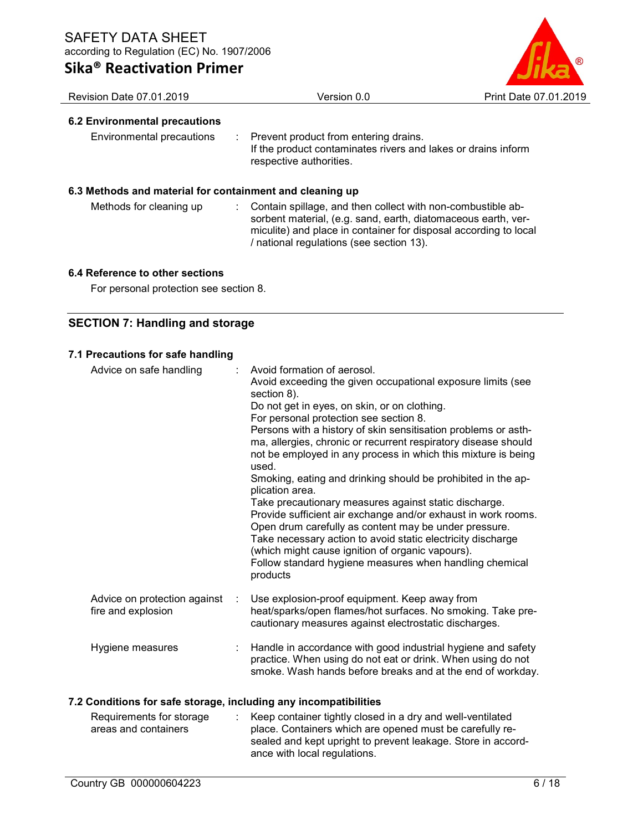|  | Sika® Reactivation Primer |  |
|--|---------------------------|--|
|--|---------------------------|--|



## Revision Date 07.01.2019 **Version 0.0 Print Date 07.01.2019 Print Date 07.01.2019** 6.2 Environmental precautions Environmental precautions : Prevent product from entering drains. If the product contaminates rivers and lakes or drains inform respective authorities. 6.3 Methods and material for containment and cleaning up Methods for cleaning up : Contain spillage, and then collect with non-combustible absorbent material, (e.g. sand, earth, diatomaceous earth, vermiculite) and place in container for disposal according to local / national regulations (see section 13).

## 6.4 Reference to other sections

For personal protection see section 8.

## SECTION 7: Handling and storage

## 7.1 Precautions for safe handling

| Advice on safe handling                            | Avoid formation of aerosol.<br>Avoid exceeding the given occupational exposure limits (see<br>section 8).<br>Do not get in eyes, on skin, or on clothing.<br>For personal protection see section 8.<br>Persons with a history of skin sensitisation problems or asth-<br>ma, allergies, chronic or recurrent respiratory disease should<br>not be employed in any process in which this mixture is being<br>used.<br>Smoking, eating and drinking should be prohibited in the ap-<br>plication area.<br>Take precautionary measures against static discharge.<br>Provide sufficient air exchange and/or exhaust in work rooms.<br>Open drum carefully as content may be under pressure.<br>Take necessary action to avoid static electricity discharge<br>(which might cause ignition of organic vapours).<br>Follow standard hygiene measures when handling chemical<br>products |
|----------------------------------------------------|-----------------------------------------------------------------------------------------------------------------------------------------------------------------------------------------------------------------------------------------------------------------------------------------------------------------------------------------------------------------------------------------------------------------------------------------------------------------------------------------------------------------------------------------------------------------------------------------------------------------------------------------------------------------------------------------------------------------------------------------------------------------------------------------------------------------------------------------------------------------------------------|
| Advice on protection against<br>fire and explosion | Use explosion-proof equipment. Keep away from<br>heat/sparks/open flames/hot surfaces. No smoking. Take pre-<br>cautionary measures against electrostatic discharges.                                                                                                                                                                                                                                                                                                                                                                                                                                                                                                                                                                                                                                                                                                             |
| Hygiene measures                                   | Handle in accordance with good industrial hygiene and safety<br>practice. When using do not eat or drink. When using do not<br>smoke. Wash hands before breaks and at the end of workday.                                                                                                                                                                                                                                                                                                                                                                                                                                                                                                                                                                                                                                                                                         |

## 7.2 Conditions for safe storage, including any incompatibilities

| Requirements for storage | : Keep container tightly closed in a dry and well-ventilated |
|--------------------------|--------------------------------------------------------------|
| areas and containers     | place. Containers which are opened must be carefully re-     |
|                          | sealed and kept upright to prevent leakage. Store in accord- |
|                          | ance with local regulations.                                 |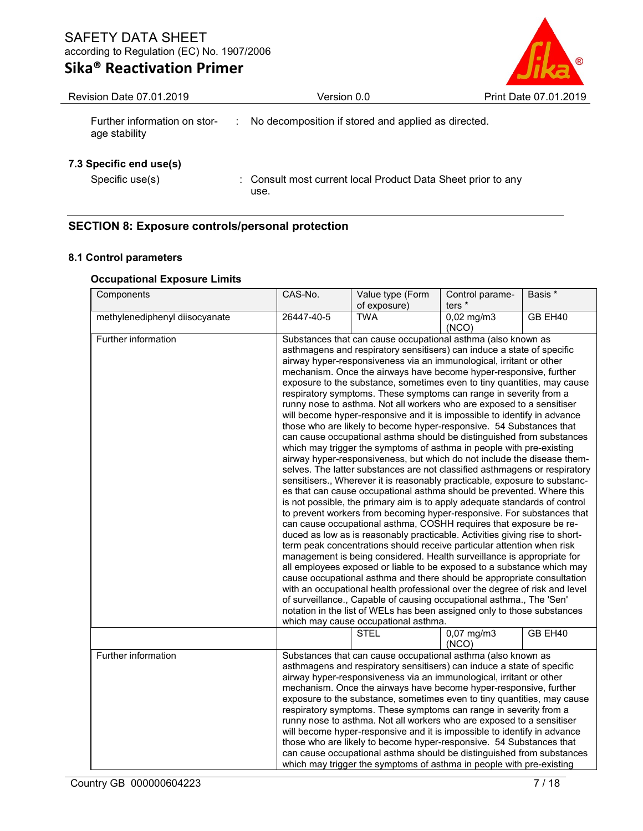# Sika® Reactivation Primer



Revision Date 07.01.2019 Version 0.0 Print Date 07.01.2019 Further information on stor- : No decomposition if stored and applied as directed. age stability

## 7.3 Specific end use(s)

Specific use(s) : Consult most current local Product Data Sheet prior to any use.

## SECTION 8: Exposure controls/personal protection

## 8.1 Control parameters

### Occupational Exposure Limits

| Components                     | CAS-No.                                                                                                                                      | Value type (Form                                                                                                                                         | Control parame-       | Basis * |  |  |
|--------------------------------|----------------------------------------------------------------------------------------------------------------------------------------------|----------------------------------------------------------------------------------------------------------------------------------------------------------|-----------------------|---------|--|--|
|                                |                                                                                                                                              | of exposure)                                                                                                                                             | ters *                |         |  |  |
| methylenediphenyl diisocyanate | 26447-40-5                                                                                                                                   | <b>TWA</b>                                                                                                                                               | $0,02$ mg/m3<br>(NCO) | GB EH40 |  |  |
| Further information            |                                                                                                                                              | Substances that can cause occupational asthma (also known as                                                                                             |                       |         |  |  |
|                                |                                                                                                                                              | asthmagens and respiratory sensitisers) can induce a state of specific                                                                                   |                       |         |  |  |
|                                |                                                                                                                                              | airway hyper-responsiveness via an immunological, irritant or other                                                                                      |                       |         |  |  |
|                                |                                                                                                                                              | mechanism. Once the airways have become hyper-responsive, further                                                                                        |                       |         |  |  |
|                                |                                                                                                                                              | exposure to the substance, sometimes even to tiny quantities, may cause                                                                                  |                       |         |  |  |
|                                |                                                                                                                                              | respiratory symptoms. These symptoms can range in severity from a                                                                                        |                       |         |  |  |
|                                |                                                                                                                                              | runny nose to asthma. Not all workers who are exposed to a sensitiser                                                                                    |                       |         |  |  |
|                                |                                                                                                                                              | will become hyper-responsive and it is impossible to identify in advance                                                                                 |                       |         |  |  |
|                                |                                                                                                                                              | those who are likely to become hyper-responsive. 54 Substances that                                                                                      |                       |         |  |  |
|                                |                                                                                                                                              | can cause occupational asthma should be distinguished from substances                                                                                    |                       |         |  |  |
|                                |                                                                                                                                              | which may trigger the symptoms of asthma in people with pre-existing                                                                                     |                       |         |  |  |
|                                |                                                                                                                                              | airway hyper-responsiveness, but which do not include the disease them-                                                                                  |                       |         |  |  |
|                                |                                                                                                                                              | selves. The latter substances are not classified asthmagens or respiratory<br>sensitisers., Wherever it is reasonably practicable, exposure to substanc- |                       |         |  |  |
|                                |                                                                                                                                              | es that can cause occupational asthma should be prevented. Where this                                                                                    |                       |         |  |  |
|                                |                                                                                                                                              | is not possible, the primary aim is to apply adequate standards of control                                                                               |                       |         |  |  |
|                                |                                                                                                                                              | to prevent workers from becoming hyper-responsive. For substances that                                                                                   |                       |         |  |  |
|                                |                                                                                                                                              | can cause occupational asthma, COSHH requires that exposure be re-                                                                                       |                       |         |  |  |
|                                |                                                                                                                                              | duced as low as is reasonably practicable. Activities giving rise to short-                                                                              |                       |         |  |  |
|                                |                                                                                                                                              | term peak concentrations should receive particular attention when risk                                                                                   |                       |         |  |  |
|                                |                                                                                                                                              | management is being considered. Health surveillance is appropriate for                                                                                   |                       |         |  |  |
|                                |                                                                                                                                              | all employees exposed or liable to be exposed to a substance which may                                                                                   |                       |         |  |  |
|                                |                                                                                                                                              | cause occupational asthma and there should be appropriate consultation                                                                                   |                       |         |  |  |
|                                |                                                                                                                                              | with an occupational health professional over the degree of risk and level                                                                               |                       |         |  |  |
|                                |                                                                                                                                              | of surveillance., Capable of causing occupational asthma., The 'Sen'                                                                                     |                       |         |  |  |
|                                |                                                                                                                                              | notation in the list of WELs has been assigned only to those substances                                                                                  |                       |         |  |  |
|                                |                                                                                                                                              | which may cause occupational asthma.                                                                                                                     |                       |         |  |  |
|                                | GB EH40<br><b>STEL</b><br>$0,07$ mg/m3<br>(NCO)                                                                                              |                                                                                                                                                          |                       |         |  |  |
| Further information            |                                                                                                                                              | Substances that can cause occupational asthma (also known as                                                                                             |                       |         |  |  |
|                                |                                                                                                                                              | asthmagens and respiratory sensitisers) can induce a state of specific                                                                                   |                       |         |  |  |
|                                |                                                                                                                                              | airway hyper-responsiveness via an immunological, irritant or other                                                                                      |                       |         |  |  |
|                                |                                                                                                                                              | mechanism. Once the airways have become hyper-responsive, further                                                                                        |                       |         |  |  |
|                                | exposure to the substance, sometimes even to tiny quantities, may cause<br>respiratory symptoms. These symptoms can range in severity from a |                                                                                                                                                          |                       |         |  |  |
|                                |                                                                                                                                              |                                                                                                                                                          |                       |         |  |  |
|                                | runny nose to asthma. Not all workers who are exposed to a sensitiser                                                                        |                                                                                                                                                          |                       |         |  |  |
|                                | will become hyper-responsive and it is impossible to identify in advance                                                                     |                                                                                                                                                          |                       |         |  |  |
|                                |                                                                                                                                              | those who are likely to become hyper-responsive. 54 Substances that                                                                                      |                       |         |  |  |
|                                |                                                                                                                                              | can cause occupational asthma should be distinguished from substances                                                                                    |                       |         |  |  |
|                                |                                                                                                                                              | which may trigger the symptoms of asthma in people with pre-existing                                                                                     |                       |         |  |  |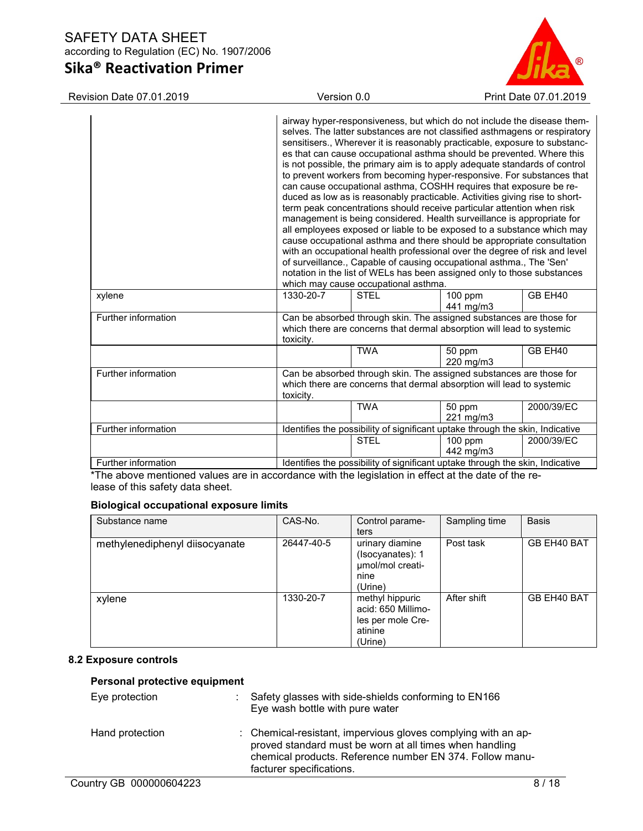# Sika® Reactivation Primer



Revision Date 07.01.2019 Version 0.0 Print Date 07.01.2019

|                     |           | which may cause occupational asthma. | airway hyper-responsiveness, but which do not include the disease them-<br>selves. The latter substances are not classified asthmagens or respiratory<br>sensitisers., Wherever it is reasonably practicable, exposure to substanc-<br>es that can cause occupational asthma should be prevented. Where this<br>is not possible, the primary aim is to apply adequate standards of control<br>to prevent workers from becoming hyper-responsive. For substances that<br>can cause occupational asthma, COSHH requires that exposure be re-<br>duced as low as is reasonably practicable. Activities giving rise to short-<br>term peak concentrations should receive particular attention when risk<br>management is being considered. Health surveillance is appropriate for<br>all employees exposed or liable to be exposed to a substance which may<br>cause occupational asthma and there should be appropriate consultation<br>with an occupational health professional over the degree of risk and level<br>of surveillance., Capable of causing occupational asthma., The 'Sen'<br>notation in the list of WELs has been assigned only to those substances |            |
|---------------------|-----------|--------------------------------------|--------------------------------------------------------------------------------------------------------------------------------------------------------------------------------------------------------------------------------------------------------------------------------------------------------------------------------------------------------------------------------------------------------------------------------------------------------------------------------------------------------------------------------------------------------------------------------------------------------------------------------------------------------------------------------------------------------------------------------------------------------------------------------------------------------------------------------------------------------------------------------------------------------------------------------------------------------------------------------------------------------------------------------------------------------------------------------------------------------------------------------------------------------------------|------------|
| xylene              | 1330-20-7 | <b>STEL</b>                          | $100$ ppm<br>441 mg/m3                                                                                                                                                                                                                                                                                                                                                                                                                                                                                                                                                                                                                                                                                                                                                                                                                                                                                                                                                                                                                                                                                                                                             | GB EH40    |
| Further information | toxicity. |                                      | Can be absorbed through skin. The assigned substances are those for<br>which there are concerns that dermal absorption will lead to systemic                                                                                                                                                                                                                                                                                                                                                                                                                                                                                                                                                                                                                                                                                                                                                                                                                                                                                                                                                                                                                       |            |
|                     |           | <b>TWA</b>                           | 50 ppm<br>220 mg/m3                                                                                                                                                                                                                                                                                                                                                                                                                                                                                                                                                                                                                                                                                                                                                                                                                                                                                                                                                                                                                                                                                                                                                | GB EH40    |
| Further information | toxicity. |                                      | Can be absorbed through skin. The assigned substances are those for<br>which there are concerns that dermal absorption will lead to systemic                                                                                                                                                                                                                                                                                                                                                                                                                                                                                                                                                                                                                                                                                                                                                                                                                                                                                                                                                                                                                       |            |
|                     |           | <b>TWA</b>                           | 50 ppm<br>221 mg/m3                                                                                                                                                                                                                                                                                                                                                                                                                                                                                                                                                                                                                                                                                                                                                                                                                                                                                                                                                                                                                                                                                                                                                | 2000/39/EC |
| Further information |           |                                      | Identifies the possibility of significant uptake through the skin, Indicative                                                                                                                                                                                                                                                                                                                                                                                                                                                                                                                                                                                                                                                                                                                                                                                                                                                                                                                                                                                                                                                                                      |            |
|                     |           | <b>STEL</b>                          | 100 ppm<br>442 mg/m3                                                                                                                                                                                                                                                                                                                                                                                                                                                                                                                                                                                                                                                                                                                                                                                                                                                                                                                                                                                                                                                                                                                                               | 2000/39/EC |
| Further information |           |                                      | Identifies the possibility of significant uptake through the skin, Indicative                                                                                                                                                                                                                                                                                                                                                                                                                                                                                                                                                                                                                                                                                                                                                                                                                                                                                                                                                                                                                                                                                      |            |

\*The above mentioned values are in accordance with the legislation in effect at the date of the release of this safety data sheet.

## Biological occupational exposure limits

| Substance name                 | CAS-No.    | Control parame-<br>ters                                                          | Sampling time | <b>Basis</b> |
|--------------------------------|------------|----------------------------------------------------------------------------------|---------------|--------------|
| methylenediphenyl diisocyanate | 26447-40-5 | urinary diamine<br>(Isocyanates): 1<br>umol/mol creati-<br>nine<br>(Urine)       | Post task     | GB EH40 BAT  |
| xylene                         | 1330-20-7  | methyl hippuric<br>acid: 650 Millimo-<br>les per mole Cre-<br>atinine<br>(Urine) | After shift   | GB EH40 BAT  |

## 8.2 Exposure controls

## Personal protective equipment

| Eye protection  | Safety glasses with side-shields conforming to EN166<br>Eye wash bottle with pure water                                                                                                                          |
|-----------------|------------------------------------------------------------------------------------------------------------------------------------------------------------------------------------------------------------------|
| Hand protection | : Chemical-resistant, impervious gloves complying with an ap-<br>proved standard must be worn at all times when handling<br>chemical products. Reference number EN 374. Follow manu-<br>facturer specifications. |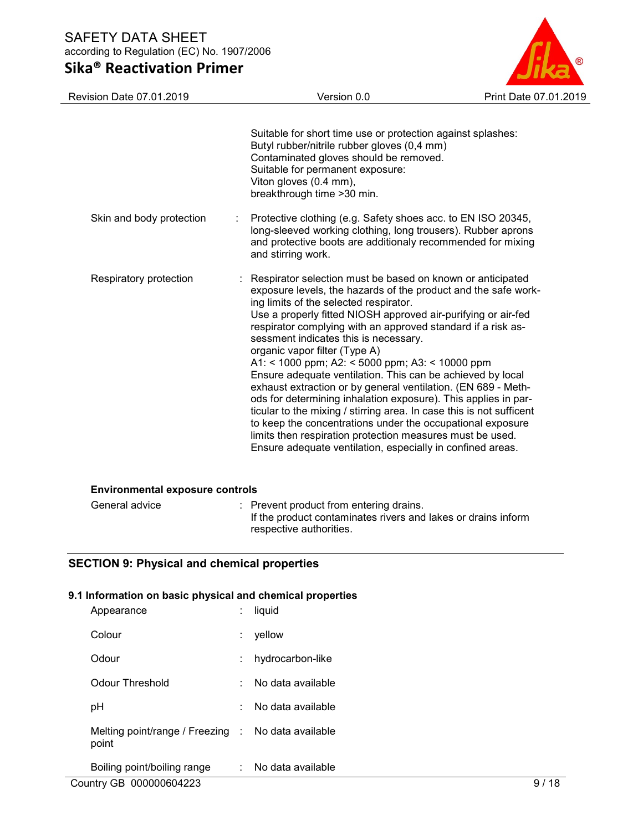# Sika® Reactivation Primer



| Revision Date 07.01.2019               | Version 0.0                                                                                                                                                                                                                                                                                                                                                                                                                                                                                                                                                                                                                                                                                                                                                                                                                                                                                              | Print Date 07.01.2019 |
|----------------------------------------|----------------------------------------------------------------------------------------------------------------------------------------------------------------------------------------------------------------------------------------------------------------------------------------------------------------------------------------------------------------------------------------------------------------------------------------------------------------------------------------------------------------------------------------------------------------------------------------------------------------------------------------------------------------------------------------------------------------------------------------------------------------------------------------------------------------------------------------------------------------------------------------------------------|-----------------------|
|                                        | Suitable for short time use or protection against splashes:<br>Butyl rubber/nitrile rubber gloves (0,4 mm)<br>Contaminated gloves should be removed.<br>Suitable for permanent exposure:<br>Viton gloves (0.4 mm),<br>breakthrough time >30 min.                                                                                                                                                                                                                                                                                                                                                                                                                                                                                                                                                                                                                                                         |                       |
| Skin and body protection               | Protective clothing (e.g. Safety shoes acc. to EN ISO 20345,<br>long-sleeved working clothing, long trousers). Rubber aprons<br>and protective boots are additionaly recommended for mixing<br>and stirring work.                                                                                                                                                                                                                                                                                                                                                                                                                                                                                                                                                                                                                                                                                        |                       |
| Respiratory protection                 | : Respirator selection must be based on known or anticipated<br>exposure levels, the hazards of the product and the safe work-<br>ing limits of the selected respirator.<br>Use a properly fitted NIOSH approved air-purifying or air-fed<br>respirator complying with an approved standard if a risk as-<br>sessment indicates this is necessary.<br>organic vapor filter (Type A)<br>A1: < 1000 ppm; A2: < 5000 ppm; A3: < 10000 ppm<br>Ensure adequate ventilation. This can be achieved by local<br>exhaust extraction or by general ventilation. (EN 689 - Meth-<br>ods for determining inhalation exposure). This applies in par-<br>ticular to the mixing / stirring area. In case this is not sufficent<br>to keep the concentrations under the occupational exposure<br>limits then respiration protection measures must be used.<br>Ensure adequate ventilation, especially in confined areas. |                       |
| <b>Environmental exposure controls</b> |                                                                                                                                                                                                                                                                                                                                                                                                                                                                                                                                                                                                                                                                                                                                                                                                                                                                                                          |                       |
|                                        |                                                                                                                                                                                                                                                                                                                                                                                                                                                                                                                                                                                                                                                                                                                                                                                                                                                                                                          |                       |

| General advice | : Prevent product from entering drains.                       |
|----------------|---------------------------------------------------------------|
|                | If the product contaminates rivers and lakes or drains inform |
|                | respective authorities.                                       |

## SECTION 9: Physical and chemical properties

## 9.1 Information on basic physical and chemical properties

| Appearance                                                  | liquid            |
|-------------------------------------------------------------|-------------------|
| Colour                                                      | yellow            |
| Odour                                                       | hydrocarbon-like  |
| Odour Threshold                                             | No data available |
| рH                                                          | No data available |
| Melting point/range / Freezing : No data available<br>point |                   |
| Boiling point/boiling range                                 | No data available |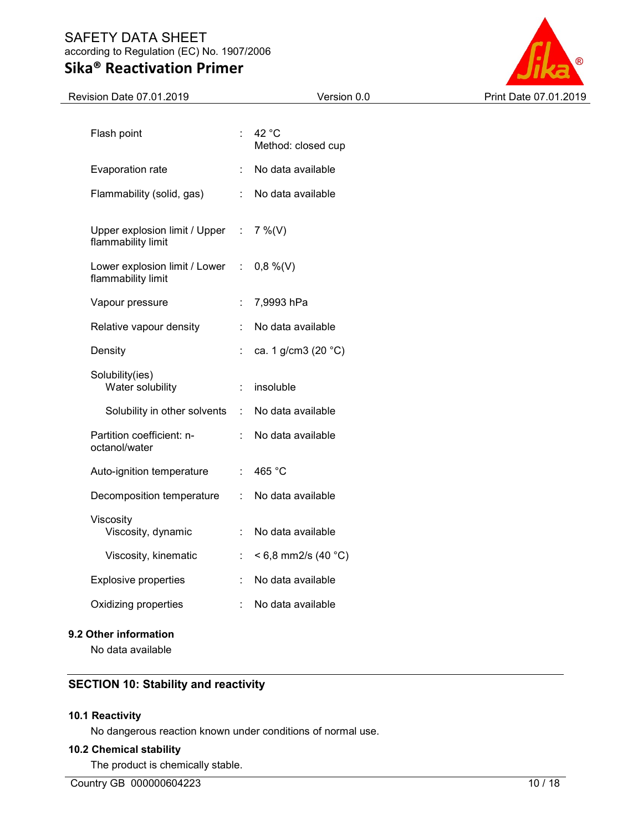# Sika® Reactivation Primer



| Revision Date 07.01.2019                              |                    | Version 0.0                           | Print Date 07.01.2019 |
|-------------------------------------------------------|--------------------|---------------------------------------|-----------------------|
| Flash point                                           | $\mathbb{R}^{n+1}$ | 42 $^{\circ}$ C<br>Method: closed cup |                       |
| Evaporation rate                                      |                    | No data available                     |                       |
| Flammability (solid, gas)                             | $\mathbb{R}^n$     | No data available                     |                       |
| Upper explosion limit / Upper :<br>flammability limit |                    | $7\%$ (V)                             |                       |
| Lower explosion limit / Lower :<br>flammability limit |                    | $0,8\%$ (V)                           |                       |
| Vapour pressure                                       | ÷                  | 7,9993 hPa                            |                       |
| Relative vapour density                               | ÷                  | No data available                     |                       |
| Density                                               | ÷.                 | ca. 1 g/cm3 (20 °C)                   |                       |
| Solubility(ies)<br>Water solubility                   | ÷                  | insoluble                             |                       |
| Solubility in other solvents                          | $\sim$             | No data available                     |                       |
| Partition coefficient: n-<br>octanol/water            |                    | No data available                     |                       |
| Auto-ignition temperature                             | ÷.                 | 465 °C                                |                       |
| Decomposition temperature                             | ÷                  | No data available                     |                       |
| Viscosity<br>Viscosity, dynamic                       | ÷                  | No data available                     |                       |
| Viscosity, kinematic                                  | ÷                  | $< 6.8$ mm2/s (40 °C)                 |                       |
| <b>Explosive properties</b>                           | ÷                  | No data available                     |                       |
| Oxidizing properties                                  |                    | No data available                     |                       |
|                                                       |                    |                                       |                       |

## 9.2 Other information

No data available

## SECTION 10: Stability and reactivity

## 10.1 Reactivity

No dangerous reaction known under conditions of normal use.

## 10.2 Chemical stability

The product is chemically stable.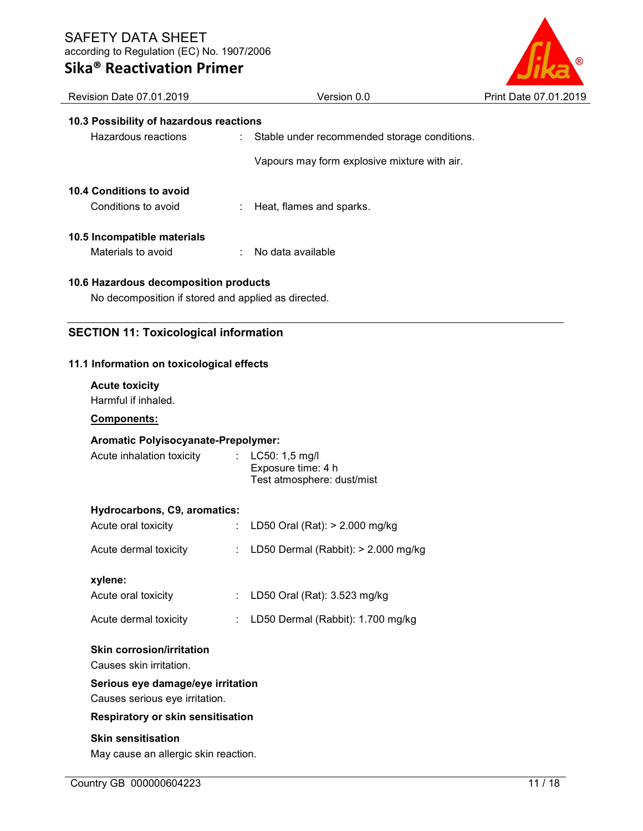# Sika® Reactivation Primer



| Revision Date 07.01.2019                                              | Version 0.0                                  | Print Date 07.01.2019 |  |  |
|-----------------------------------------------------------------------|----------------------------------------------|-----------------------|--|--|
| 10.3 Possibility of hazardous reactions                               |                                              |                       |  |  |
| Hazardous reactions<br>÷                                              | Stable under recommended storage conditions. |                       |  |  |
|                                                                       | Vapours may form explosive mixture with air. |                       |  |  |
|                                                                       |                                              |                       |  |  |
| 10.4 Conditions to avoid                                              |                                              |                       |  |  |
| Conditions to avoid                                                   | Heat, flames and sparks.                     |                       |  |  |
|                                                                       |                                              |                       |  |  |
| 10.5 Incompatible materials<br>Materials to avoid                     | No data available                            |                       |  |  |
|                                                                       |                                              |                       |  |  |
| 10.6 Hazardous decomposition products                                 |                                              |                       |  |  |
| No decomposition if stored and applied as directed.                   |                                              |                       |  |  |
|                                                                       |                                              |                       |  |  |
| <b>SECTION 11: Toxicological information</b>                          |                                              |                       |  |  |
| 11.1 Information on toxicological effects                             |                                              |                       |  |  |
|                                                                       |                                              |                       |  |  |
| <b>Acute toxicity</b><br>Harmful if inhaled.                          |                                              |                       |  |  |
| Components:                                                           |                                              |                       |  |  |
|                                                                       |                                              |                       |  |  |
| Aromatic Polyisocyanate-Prepolymer:<br>Acute inhalation toxicity<br>÷ | LC50: 1,5 mg/l                               |                       |  |  |
|                                                                       | Exposure time: 4 h                           |                       |  |  |
|                                                                       | Test atmosphere: dust/mist                   |                       |  |  |
| Hydrocarbons, C9, aromatics:                                          |                                              |                       |  |  |
| Acute oral toxicity                                                   | LD50 Oral (Rat): > 2.000 mg/kg               |                       |  |  |
|                                                                       | LD50 Dermal (Rabbit): > 2.000 mg/kg          |                       |  |  |
| Acute dermal toxicity                                                 |                                              |                       |  |  |
| xylene:                                                               |                                              |                       |  |  |
| Acute oral toxicity                                                   | LD50 Oral (Rat): 3.523 mg/kg                 |                       |  |  |
| Acute dermal toxicity                                                 | LD50 Dermal (Rabbit): 1.700 mg/kg            |                       |  |  |
| <b>Skin corrosion/irritation</b>                                      |                                              |                       |  |  |
| Causes skin irritation.                                               |                                              |                       |  |  |
| Serious eye damage/eye irritation                                     |                                              |                       |  |  |
| Causes serious eye irritation.                                        |                                              |                       |  |  |
|                                                                       | Respiratory or skin sensitisation            |                       |  |  |
| <b>Skin sensitisation</b>                                             |                                              |                       |  |  |
| May cause an allergic skin reaction.                                  |                                              |                       |  |  |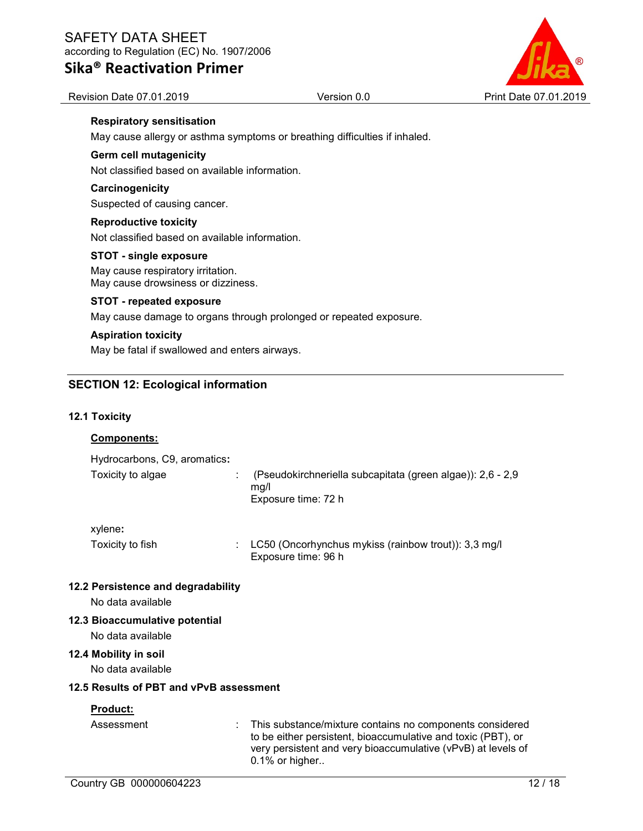Sika® Reactivation Primer



Revision Date 07.01.2019 **Version 0.0 Print Date 07.01.2019 Print Date 07.01.2019** 

## Respiratory sensitisation

May cause allergy or asthma symptoms or breathing difficulties if inhaled.

## Germ cell mutagenicity

Not classified based on available information.

### **Carcinogenicity**

Suspected of causing cancer.

### Reproductive toxicity

Not classified based on available information.

#### STOT - single exposure

May cause respiratory irritation. May cause drowsiness or dizziness.

#### STOT - repeated exposure

May cause damage to organs through prolonged or repeated exposure.

#### Aspiration toxicity

May be fatal if swallowed and enters airways.

## SECTION 12: Ecological information

### 12.1 Toxicity

## Components:

| Hydrocarbons, C9, aromatics <b>:</b> |                                                                                           |
|--------------------------------------|-------------------------------------------------------------------------------------------|
| Toxicity to algae                    | (Pseudokirchneriella subcapitata (green algae)): 2,6 - 2,9<br>ma/l<br>Exposure time: 72 h |

#### xylene:

| Toxicity to fish | : LC50 (Oncorhynchus mykiss (rainbow trout)): 3,3 mg/l |
|------------------|--------------------------------------------------------|
|                  | Exposure time: 96 h                                    |

#### 12.2 Persistence and degradability

No data available

#### 12.3 Bioaccumulative potential

No data available

#### 12.4 Mobility in soil

No data available

### 12.5 Results of PBT and vPvB assessment

#### Product:

Assessment : This substance/mixture contains no components considered to be either persistent, bioaccumulative and toxic (PBT), or very persistent and very bioaccumulative (vPvB) at levels of 0.1% or higher..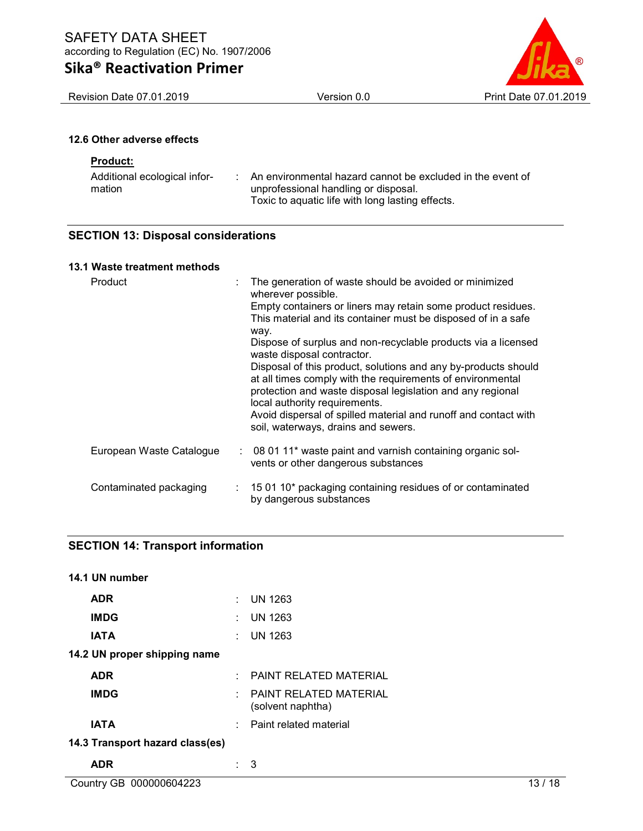# Sika® Reactivation Primer

Revision Date 07.01.2019 Version 0.0 Version 0.0 Print Date 07.01.2019

## 12.6 Other adverse effects

### Product:

| Additional ecological infor- | An environmental hazard cannot be excluded in the event of |
|------------------------------|------------------------------------------------------------|
| mation                       | unprofessional handling or disposal.                       |
|                              | Toxic to aquatic life with long lasting effects.           |

## SECTION 13: Disposal considerations

### 13.1 Waste treatment methods

| Product                  | The generation of waste should be avoided or minimized<br>wherever possible.<br>Empty containers or liners may retain some product residues.<br>This material and its container must be disposed of in a safe<br>way.<br>Dispose of surplus and non-recyclable products via a licensed<br>waste disposal contractor.<br>Disposal of this product, solutions and any by-products should<br>at all times comply with the requirements of environmental<br>protection and waste disposal legislation and any regional<br>local authority requirements.<br>Avoid dispersal of spilled material and runoff and contact with<br>soil, waterways, drains and sewers. |
|--------------------------|---------------------------------------------------------------------------------------------------------------------------------------------------------------------------------------------------------------------------------------------------------------------------------------------------------------------------------------------------------------------------------------------------------------------------------------------------------------------------------------------------------------------------------------------------------------------------------------------------------------------------------------------------------------|
| European Waste Catalogue | : 08 01 11* waste paint and varnish containing organic sol-<br>vents or other dangerous substances                                                                                                                                                                                                                                                                                                                                                                                                                                                                                                                                                            |
| Contaminated packaging   | 15 01 10* packaging containing residues of or contaminated<br>by dangerous substances                                                                                                                                                                                                                                                                                                                                                                                                                                                                                                                                                                         |

## SECTION 14: Transport information

| 14.1 UN number                  |   |                                                          |  |  |  |
|---------------------------------|---|----------------------------------------------------------|--|--|--|
| <b>ADR</b>                      | ÷ | <b>UN 1263</b>                                           |  |  |  |
| <b>IMDG</b>                     | ÷ | <b>UN 1263</b>                                           |  |  |  |
| <b>IATA</b>                     |   | $\therefore$ UN 1263                                     |  |  |  |
| 14.2 UN proper shipping name    |   |                                                          |  |  |  |
| <b>ADR</b>                      | ٠ | <b>PAINT RELATED MATERIAL</b>                            |  |  |  |
| <b>IMDG</b>                     |   | $\therefore$ PAINT RELATED MATERIAL<br>(solvent naphtha) |  |  |  |
| <b>IATA</b>                     |   | : Paint related material                                 |  |  |  |
| 14.3 Transport hazard class(es) |   |                                                          |  |  |  |
| ADR                             |   | 3                                                        |  |  |  |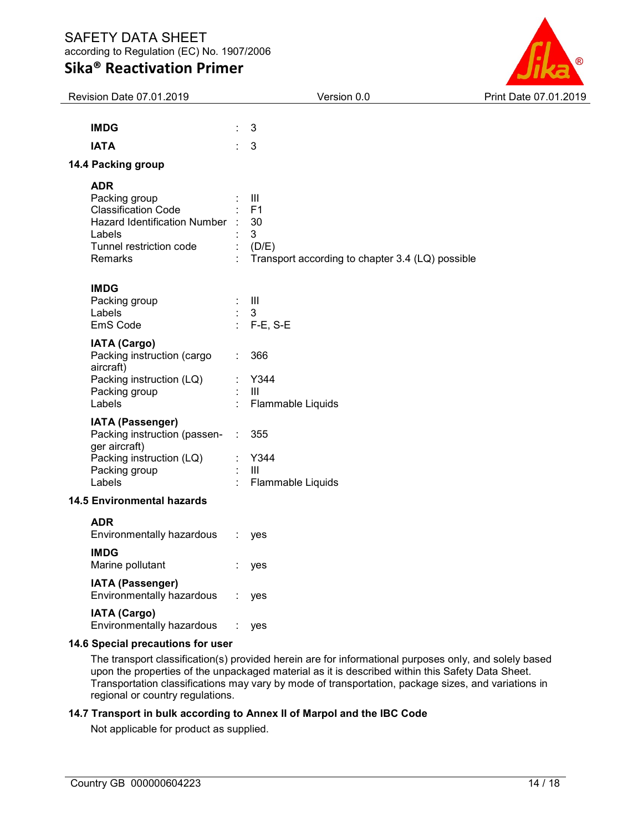# Sika® Reactivation Primer



| Revision Date 07.01.2019                                                                                                                    |                | Version 0.0                                                                                 | Print Date 07.01.2019 |
|---------------------------------------------------------------------------------------------------------------------------------------------|----------------|---------------------------------------------------------------------------------------------|-----------------------|
| <b>IMDG</b>                                                                                                                                 | ÷.             | 3                                                                                           |                       |
| <b>IATA</b>                                                                                                                                 | ÷.             | 3                                                                                           |                       |
| 14.4 Packing group                                                                                                                          |                |                                                                                             |                       |
| <b>ADR</b><br>Packing group<br><b>Classification Code</b><br>Hazard Identification Number :<br>Labels<br>Tunnel restriction code<br>Remarks | $\mathbb{R}^n$ | Ш<br>F <sub>1</sub><br>30<br>3<br>(D/E)<br>Transport according to chapter 3.4 (LQ) possible |                       |
| <b>IMDG</b><br>Packing group<br>Labels<br>EmS Code                                                                                          | ÷.             | $\ensuremath{\mathsf{III}}\xspace$<br>3<br>$F-E$ , S-E                                      |                       |
| <b>IATA (Cargo)</b><br>Packing instruction (cargo<br>aircraft)<br>Packing instruction (LQ)<br>Packing group<br>Labels                       | ÷              | 366<br>Y344<br>$\mathbf{III}$<br>Flammable Liquids                                          |                       |
| IATA (Passenger)<br>Packing instruction (passen- :<br>ger aircraft)<br>Packing instruction (LQ)<br>Packing group<br>Labels                  |                | 355<br>Y344<br>$\mathbf{III}$<br>Flammable Liquids                                          |                       |
| <b>14.5 Environmental hazards</b>                                                                                                           |                |                                                                                             |                       |
| <b>ADR</b><br>Environmentally hazardous                                                                                                     | ÷.             | yes                                                                                         |                       |
| <b>IMDG</b><br>Marine pollutant                                                                                                             |                | : yes                                                                                       |                       |
| <b>IATA (Passenger)</b><br>Environmentally hazardous                                                                                        |                | yes                                                                                         |                       |
| IATA (Cargo)<br>Environmentally hazardous                                                                                                   |                | yes                                                                                         |                       |
| 14 6 Special procentions for user                                                                                                           |                |                                                                                             |                       |

## 14.6 Special precautions for user

The transport classification(s) provided herein are for informational purposes only, and solely based upon the properties of the unpackaged material as it is described within this Safety Data Sheet. Transportation classifications may vary by mode of transportation, package sizes, and variations in regional or country regulations.

#### 14.7 Transport in bulk according to Annex II of Marpol and the IBC Code

Not applicable for product as supplied.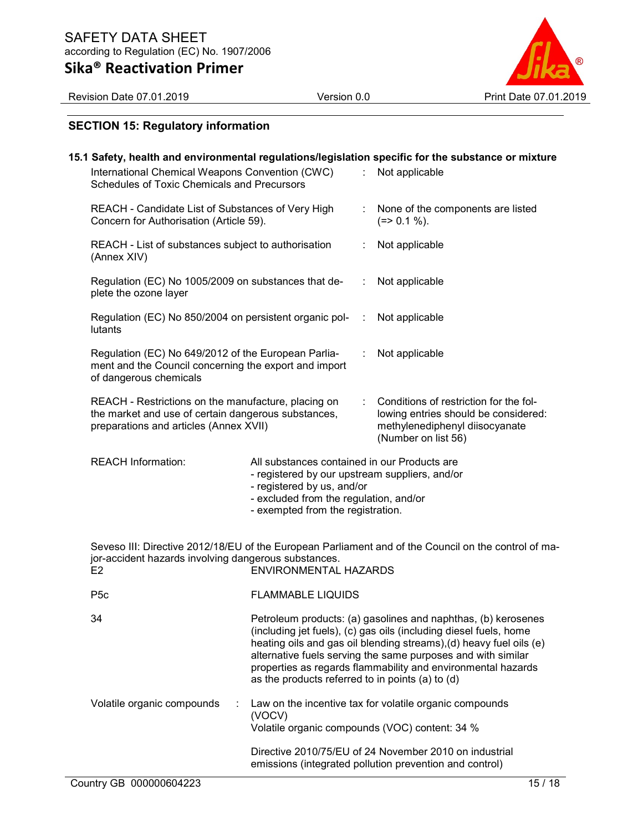

Revision Date 07.01.2019 Version 0.0 Print Date 07.01.2019

## SECTION 15: Regulatory information

|                                                                                                                                                      |                                                                                                                                                                                                             |    | 15.1 Safety, health and environmental regulations/legislation specific for the substance or mixture                                                                                                                                                                                                                                       |  |  |
|------------------------------------------------------------------------------------------------------------------------------------------------------|-------------------------------------------------------------------------------------------------------------------------------------------------------------------------------------------------------------|----|-------------------------------------------------------------------------------------------------------------------------------------------------------------------------------------------------------------------------------------------------------------------------------------------------------------------------------------------|--|--|
| International Chemical Weapons Convention (CWC)<br>Schedules of Toxic Chemicals and Precursors                                                       |                                                                                                                                                                                                             | ÷. | Not applicable                                                                                                                                                                                                                                                                                                                            |  |  |
| REACH - Candidate List of Substances of Very High<br>Concern for Authorisation (Article 59).                                                         |                                                                                                                                                                                                             | t. | None of the components are listed<br>$(=>0.1\%).$                                                                                                                                                                                                                                                                                         |  |  |
| REACH - List of substances subject to authorisation<br>(Annex XIV)                                                                                   |                                                                                                                                                                                                             |    | Not applicable                                                                                                                                                                                                                                                                                                                            |  |  |
| Regulation (EC) No 1005/2009 on substances that de-<br>plete the ozone layer                                                                         |                                                                                                                                                                                                             |    | Not applicable                                                                                                                                                                                                                                                                                                                            |  |  |
| Regulation (EC) No 850/2004 on persistent organic pol-<br>lutants                                                                                    |                                                                                                                                                                                                             |    | Not applicable                                                                                                                                                                                                                                                                                                                            |  |  |
| Regulation (EC) No 649/2012 of the European Parlia-<br>ment and the Council concerning the export and import<br>of dangerous chemicals               |                                                                                                                                                                                                             | ÷  | Not applicable                                                                                                                                                                                                                                                                                                                            |  |  |
| REACH - Restrictions on the manufacture, placing on<br>the market and use of certain dangerous substances,<br>preparations and articles (Annex XVII) |                                                                                                                                                                                                             |    | Conditions of restriction for the fol-<br>lowing entries should be considered:<br>methylenediphenyl diisocyanate<br>(Number on list 56)                                                                                                                                                                                                   |  |  |
| <b>REACH Information:</b>                                                                                                                            | All substances contained in our Products are<br>- registered by our upstream suppliers, and/or<br>- registered by us, and/or<br>- excluded from the regulation, and/or<br>- exempted from the registration. |    |                                                                                                                                                                                                                                                                                                                                           |  |  |
| jor-accident hazards involving dangerous substances.<br>E <sub>2</sub>                                                                               | <b>ENVIRONMENTAL HAZARDS</b>                                                                                                                                                                                |    | Seveso III: Directive 2012/18/EU of the European Parliament and of the Council on the control of ma-                                                                                                                                                                                                                                      |  |  |
| P <sub>5c</sub><br><b>FLAMMABLE LIQUIDS</b>                                                                                                          |                                                                                                                                                                                                             |    |                                                                                                                                                                                                                                                                                                                                           |  |  |
| 34                                                                                                                                                   | as the products referred to in points (a) to (d)                                                                                                                                                            |    | Petroleum products: (a) gasolines and naphthas, (b) kerosenes<br>(including jet fuels), (c) gas oils (including diesel fuels, home<br>heating oils and gas oil blending streams), (d) heavy fuel oils (e)<br>alternative fuels serving the same purposes and with similar<br>properties as regards flammability and environmental hazards |  |  |
| Volatile organic compounds                                                                                                                           | (VOCV)                                                                                                                                                                                                      |    | Law on the incentive tax for volatile organic compounds<br>Volatile organic compounds (VOC) content: 34 %                                                                                                                                                                                                                                 |  |  |
|                                                                                                                                                      |                                                                                                                                                                                                             |    | Directive 2010/75/EU of 24 November 2010 on industrial<br>emissions (integrated pollution prevention and control)                                                                                                                                                                                                                         |  |  |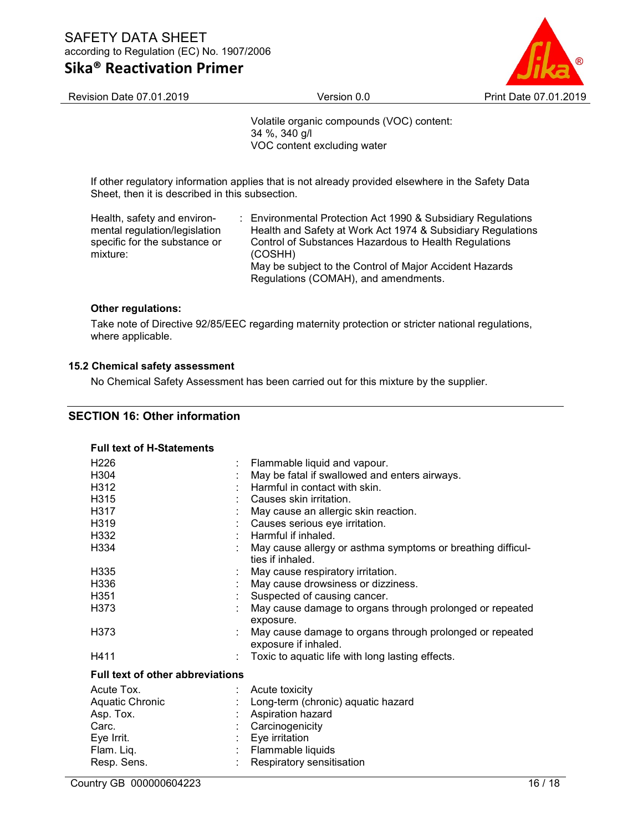## Sika® Reactivation Primer



Revision Date 07.01.2019 **Version 0.0 Print Date 07.01.2019 Print Date 07.01.2019** 

Volatile organic compounds (VOC) content: 34 %, 340 g/l VOC content excluding water

If other regulatory information applies that is not already provided elsewhere in the Safety Data Sheet, then it is described in this subsection.

| Health, safety and environ-   | : Environmental Protection Act 1990 & Subsidiary Regulations |
|-------------------------------|--------------------------------------------------------------|
| mental regulation/legislation | Health and Safety at Work Act 1974 & Subsidiary Regulations  |
| specific for the substance or | Control of Substances Hazardous to Health Regulations        |
| mixture:                      | (COSHH)                                                      |
|                               | May be subject to the Control of Major Accident Hazards      |
|                               | Regulations (COMAH), and amendments.                         |

## Other regulations:

Take note of Directive 92/85/EEC regarding maternity protection or stricter national regulations, where applicable.

## 15.2 Chemical safety assessment

No Chemical Safety Assessment has been carried out for this mixture by the supplier.

## SECTION 16: Other information

| <b>Full text of H-Statements</b>        |                               |                                                                                  |  |  |
|-----------------------------------------|-------------------------------|----------------------------------------------------------------------------------|--|--|
| H <sub>226</sub>                        |                               | Flammable liquid and vapour.                                                     |  |  |
| H304                                    |                               | May be fatal if swallowed and enters airways.                                    |  |  |
| H312                                    |                               | $\pm$ Harmful in contact with skin.                                              |  |  |
| H315                                    |                               | Causes skin irritation.                                                          |  |  |
| H317                                    |                               | May cause an allergic skin reaction.                                             |  |  |
| H319                                    |                               | Causes serious eye irritation.                                                   |  |  |
| H332                                    |                               | Harmful if inhaled.                                                              |  |  |
| H334                                    |                               | May cause allergy or asthma symptoms or breathing difficul-<br>ties if inhaled.  |  |  |
| H335                                    |                               | May cause respiratory irritation.                                                |  |  |
| H336                                    |                               | May cause drowsiness or dizziness.                                               |  |  |
| H <sub>351</sub>                        |                               | Suspected of causing cancer.                                                     |  |  |
| H373                                    |                               | May cause damage to organs through prolonged or repeated<br>exposure.            |  |  |
| H373                                    |                               | May cause damage to organs through prolonged or repeated<br>exposure if inhaled. |  |  |
| H411                                    |                               | Toxic to aquatic life with long lasting effects.                                 |  |  |
| <b>Full text of other abbreviations</b> |                               |                                                                                  |  |  |
| Acute Tox.                              |                               | Acute toxicity                                                                   |  |  |
| <b>Aquatic Chronic</b>                  |                               | : Long-term (chronic) aquatic hazard                                             |  |  |
| Asp. Tox.                               |                               | Aspiration hazard                                                                |  |  |
| Carc.                                   | $\mathbb{Z}^{\mathbb{Z}^n}$ . | Carcinogenicity                                                                  |  |  |
| Eye Irrit.                              |                               | Eye irritation                                                                   |  |  |
| Flam. Liq.                              |                               | : Flammable liquids                                                              |  |  |
| Resp. Sens.                             |                               | Respiratory sensitisation                                                        |  |  |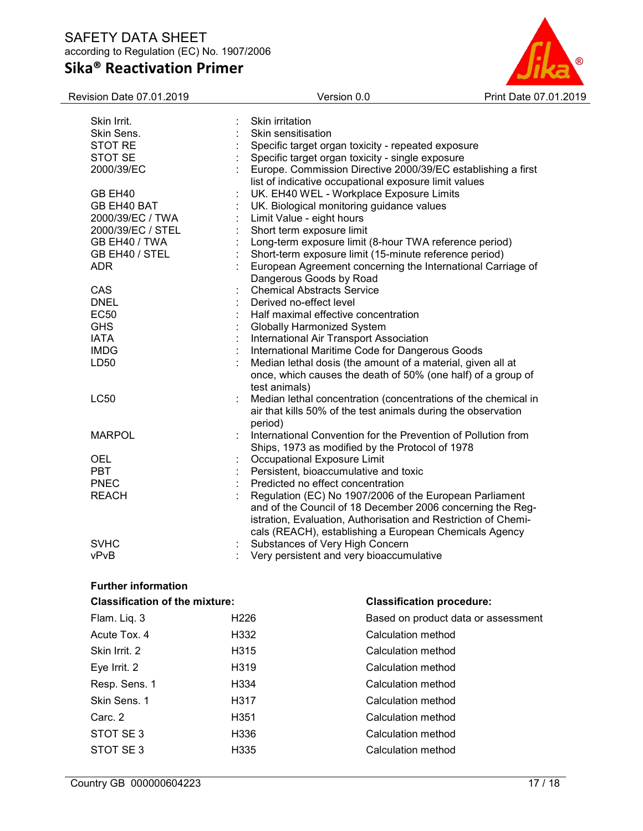# Sika® Reactivation Primer



| Revision Date 07.01.2019   | Version 0.0                                                    | Print Date 07.01.2019 |
|----------------------------|----------------------------------------------------------------|-----------------------|
| Skin Irrit.                | Skin irritation                                                |                       |
| Skin Sens.                 | Skin sensitisation                                             |                       |
| STOT RE                    | Specific target organ toxicity - repeated exposure             |                       |
| STOT SE                    | Specific target organ toxicity - single exposure               |                       |
| 2000/39/EC                 | Europe. Commission Directive 2000/39/EC establishing a first   |                       |
|                            | list of indicative occupational exposure limit values          |                       |
| GB EH40                    | UK. EH40 WEL - Workplace Exposure Limits                       |                       |
| GB EH40 BAT                |                                                                |                       |
|                            | UK. Biological monitoring guidance values                      |                       |
| 2000/39/EC / TWA           | Limit Value - eight hours                                      |                       |
| 2000/39/EC / STEL          | Short term exposure limit                                      |                       |
| GB EH40 / TWA              | Long-term exposure limit (8-hour TWA reference period)         |                       |
| GB EH40 / STEL             | Short-term exposure limit (15-minute reference period)         |                       |
| <b>ADR</b>                 | European Agreement concerning the International Carriage of    |                       |
|                            | Dangerous Goods by Road                                        |                       |
| CAS                        | <b>Chemical Abstracts Service</b>                              |                       |
| <b>DNEL</b>                | Derived no-effect level                                        |                       |
| <b>EC50</b>                | Half maximal effective concentration                           |                       |
| <b>GHS</b>                 | <b>Globally Harmonized System</b>                              |                       |
| <b>IATA</b>                | International Air Transport Association                        |                       |
| <b>IMDG</b>                | International Maritime Code for Dangerous Goods                |                       |
| LD50                       | Median lethal dosis (the amount of a material, given all at    |                       |
|                            | once, which causes the death of 50% (one half) of a group of   |                       |
|                            | test animals)                                                  |                       |
| <b>LC50</b>                | Median lethal concentration (concentrations of the chemical in |                       |
|                            | air that kills 50% of the test animals during the observation  |                       |
|                            | period)                                                        |                       |
| <b>MARPOL</b>              | International Convention for the Prevention of Pollution from  |                       |
|                            | Ships, 1973 as modified by the Protocol of 1978                |                       |
| <b>OEL</b>                 | Occupational Exposure Limit                                    |                       |
| <b>PBT</b>                 | Persistent, bioaccumulative and toxic                          |                       |
| <b>PNEC</b>                | Predicted no effect concentration                              |                       |
| <b>REACH</b>               | Regulation (EC) No 1907/2006 of the European Parliament        |                       |
|                            | and of the Council of 18 December 2006 concerning the Reg-     |                       |
|                            | istration, Evaluation, Authorisation and Restriction of Chemi- |                       |
|                            | cals (REACH), establishing a European Chemicals Agency         |                       |
| <b>SVHC</b>                | Substances of Very High Concern                                |                       |
| vPvB                       | Very persistent and very bioaccumulative                       |                       |
|                            |                                                                |                       |
|                            |                                                                |                       |
| <b>Further information</b> |                                                                |                       |

| <b>Classification of the mixture:</b> |                   | <b>Classification procedure:</b>    |
|---------------------------------------|-------------------|-------------------------------------|
| Flam. Liq. 3                          | H <sub>226</sub>  | Based on product data or assessment |
| Acute Tox, 4                          | H332              | Calculation method                  |
| Skin Irrit. 2                         | H <sub>3</sub> 15 | Calculation method                  |
| Eye Irrit. 2                          | H <sub>3</sub> 19 | Calculation method                  |
| Resp. Sens. 1                         | H <sub>334</sub>  | Calculation method                  |
| Skin Sens. 1                          | H317              | Calculation method                  |
| Carc. 2                               | H <sub>351</sub>  | Calculation method                  |
| STOT SE3                              | H336              | Calculation method                  |
| STOT SE3                              | H <sub>335</sub>  | Calculation method                  |
|                                       |                   |                                     |